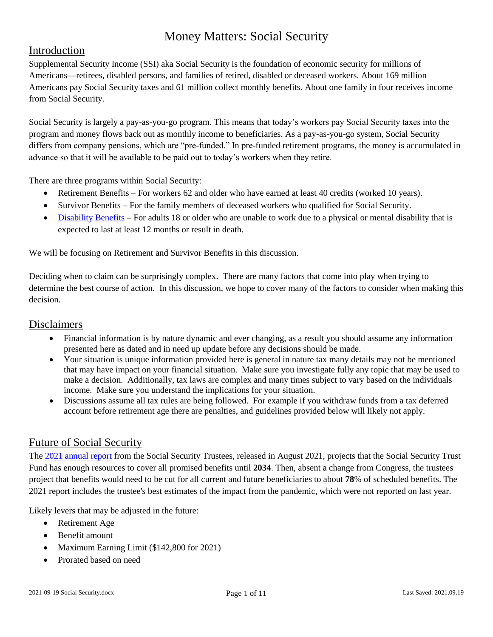### Introduction

Supplemental Security Income (SSI) aka Social Security is the foundation of economic security for millions of Americans—retirees, disabled persons, and families of retired, disabled or deceased workers. About 169 million Americans pay Social Security taxes and 61 million collect monthly benefits. About one family in four receives income from Social Security.

Social Security is largely a pay-as-you-go program. This means that today's workers pay Social Security taxes into the program and money flows back out as monthly income to beneficiaries. As a pay-as-you-go system, Social Security differs from company pensions, which are "pre-funded." In pre-funded retirement programs, the money is accumulated in advance so that it will be available to be paid out to today's workers when they retire.

There are three programs within Social Security:

- Retirement Benefits For workers 62 and older who have earned at least 40 credits (worked 10 years).
- Survivor Benefits For the family members of deceased workers who qualified for Social Security.
- [Disability Benefits](https://ssabest.benefits.gov/categories/disability-assistance-social-security) For adults 18 or older who are unable to work due to a physical or mental disability that is expected to last at least 12 months or result in death.

We will be focusing on Retirement and Survivor Benefits in this discussion.

Deciding when to claim can be surprisingly complex. There are many factors that come into play when trying to determine the best course of action. In this discussion, we hope to cover many of the factors to consider when making this decision.

#### Disclaimers

- Financial information is by nature dynamic and ever changing, as a result you should assume any information presented here as dated and in need up update before any decisions should be made.
- Your situation is unique information provided here is general in nature tax many details may not be mentioned that may have impact on your financial situation. Make sure you investigate fully any topic that may be used to make a decision. Additionally, tax laws are complex and many times subject to vary based on the individuals income. Make sure you understand the implications for your situation.
- Discussions assume all tax rules are being followed. For example if you withdraw funds from a tax deferred account before retirement age there are penalties, and guidelines provided below will likely not apply.

#### Future of Social Security

The [2021 annual report](https://www.ssa.gov/OACT/TR/2021/tr2021.pdf) from the Social Security Trustees, released in August 2021, projects that the Social Security Trust Fund has enough resources to cover all promised benefits until **2034**. Then, absent a change from Congress, the trustees project that benefits would need to be cut for all current and future beneficiaries to about **78**% of scheduled benefits. The 2021 report includes the trustee's best estimates of the impact from the pandemic, which were not reported on last year.

Likely levers that may be adjusted in the future:

- Retirement Age
- Benefit amount
- Maximum Earning Limit (\$142,800 for 2021)
- Prorated based on need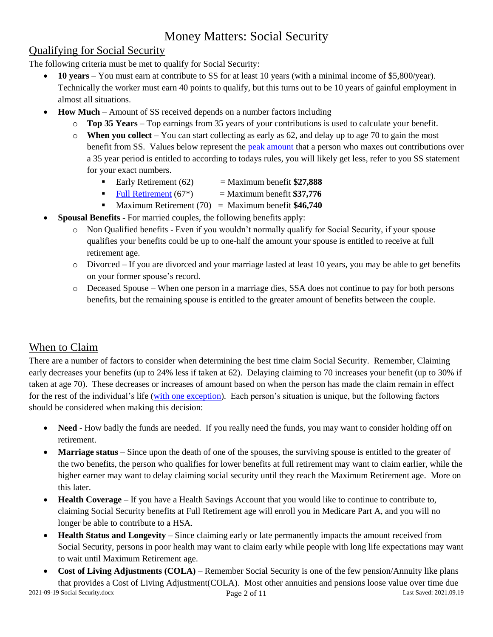### Qualifying for Social Security

The following criteria must be met to qualify for Social Security:

- **10 years** You must earn at contribute to SS for at least 10 years (with a minimal income of \$5,800/year). Technically the worker must earn 40 points to qualify, but this turns out to be 10 years of gainful employment in almost all situations.
- **How Much** Amount of SS received depends on a number factors including
	- o **Top 35 Years** Top earnings from 35 years of your contributions is used to calculate your benefit.
	- $\circ$  **When you collect** You can start collecting as early as 62, and delay up to age 70 to gain the most benefit from SS. Values below represent the [peak amount](https://faq.ssa.gov/en-US/Topic/article/KA-01897) that a person who maxes out contributions over a 35 year period is entitled to according to todays rules, you will likely get less, refer to you SS statement for your exact numbers.
		- Early Retirement  $(62)$  = Maximum benefit  $$27,888$
		- Full [Retirement](https://www.ssa.gov/oact/progdata/nra.html)  $(67^*)$  = Maximum benefit  $$37,776$
		- **Maximum Retirement (70)** = Maximum benefit **\$46,740**
- **Spousal Benefits** For married couples, the following benefits apply:
	- o Non Qualified benefits Even if you wouldn't normally qualify for Social Security, if your spouse qualifies your benefits could be up to one-half the amount your spouse is entitled to receive at full retirement age.
	- o Divorced If you are divorced and your marriage lasted at least 10 years, you may be able to get benefits on your former spouse's record.
	- o Deceased Spouse When one person in a marriage dies, SSA does not continue to pay for both persons benefits, but the remaining spouse is entitled to the greater amount of benefits between the couple.

### When to Claim

There are a number of factors to consider when determining the best time claim Social Security. Remember, Claiming early decreases your benefits (up to 24% less if taken at 62). Delaying claiming to 70 increases your benefit (up to 30% if taken at age 70). These decreases or increases of amount based on when the person has made the claim remain in effect for the rest of the individual's life [\(with one exception\)](https://www.ssa.gov/benefits/retirement/planner/suspend.html). Each person's situation is unique, but the following factors should be considered when making this decision:

- **Need** How badly the funds are needed. If you really need the funds, you may want to consider holding off on retirement.
- **Marriage status** Since upon the death of one of the spouses, the surviving spouse is entitled to the greater of the two benefits, the person who qualifies for lower benefits at full retirement may want to claim earlier, while the higher earner may want to delay claiming social security until they reach the Maximum Retirement age. More on this later.
- **Health Coverage** If you have a Health Savings Account that you would like to continue to contribute to, claiming Social Security benefits at Full Retirement age will enroll you in Medicare Part A, and you will no longer be able to contribute to a HSA.
- **Health Status and Longevity** Since claiming early or late permanently impacts the amount received from Social Security, persons in poor health may want to claim early while people with long life expectations may want to wait until Maximum Retirement age.
- 2021-09-19 Social Security.docx Page 2 of 11 Last Saved: 2021.09.19 **Cost of Living Adjustments (COLA)** – Remember Social Security is one of the few pension/Annuity like plans that provides a Cost of Living Adjustment(COLA). Most other annuities and pensions loose value over time due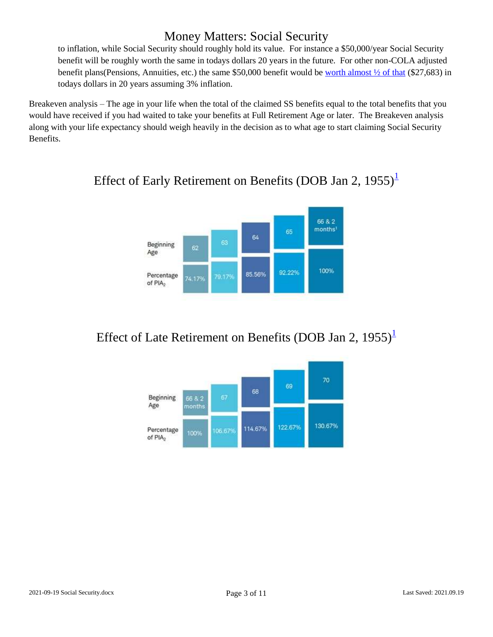to inflation, while Social Security should roughly hold its value. For instance a \$50,000/year Social Security benefit will be roughly worth the same in todays dollars 20 years in the future. For other non-COLA adjusted benefit plans(Pensions, Annuities, etc.) the same \$50,000 benefit would be [worth almost ½ of that](https://www.calculator.net/inflation-calculator.html?cstartingamount3=50000&cinrate3=3&cinyear3=20&calctype=3&x=71&y=21#backward) (\$27,683) in todays dollars in 20 years assuming 3% inflation.

Breakeven analysis – The age in your life when the total of the claimed SS benefits equal to the total benefits that you would have received if you had waited to take your benefits at Full Retirement Age or later. The Breakeven analysis along with your life expectancy should weigh heavily in the decision as to what age to start claiming Social Security Benefits.



## Effect of Early Retirement on Benefits (DOB Jan 2,  $1955$  $1955$ )<sup>1</sup>

# Effect of Late Retirement on Benefits (DOB Jan 2,  $1955$  $1955$ )<sup>1</sup>

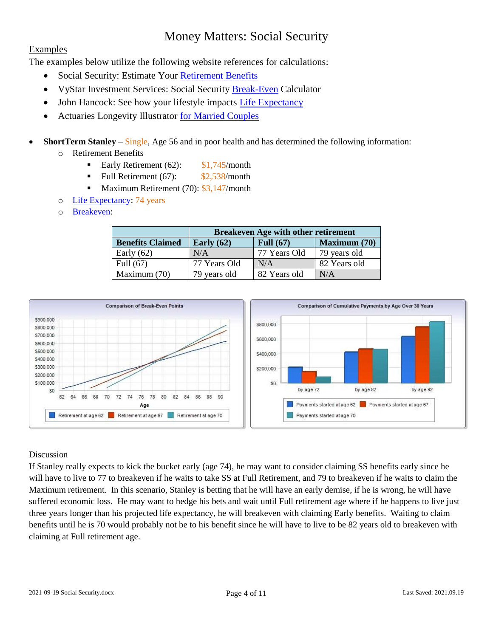#### Examples

The examples below utilize the following website references for calculations:

- Social Security: Estimate Your [Retirement Benefits](https://secure.ssa.gov/acu/ACU_KBA/main.jsp?URL=%2Fapps8z%2FARPI%2Fmain.jsp%3Flocale%3Den&LVL=4)
- VyStar Investment Services: Social Security [Break-Even](https://www.broadridgeadvisor.com/webresourcesview/ContentView.aspx?iptc=260136&wcKey=D1173E1F15856A9F0F65DAFD8FA7B815873431C99A4E1FDF729E24E7C97F0A5D718DC2591DA642B14F62275F9D72F0F8) Calculator
- John Hancock: See how your lifestyle impacts [Life Expectancy](https://www.johnhancockinsurance.com/life-expectancy-calculator.html)
- Actuaries Longevity Illustrator [for Married](https://www.longevityillustrator.org/Profile?m=1) Couples

#### **ShortTerm Stanley** – Single, Age 56 and in poor health and has determined the following information:

- o Retirement Benefits
	- Early Retirement  $(62)$ :  $$1,745/m$ onth
	- Full Retirement  $(67)$ :  $$2,538/m$ onth
	- Maximum Retirement (70): \$3,147/month
- o [Life Expectancy:](https://www.johnhancockinsurance.com/life-expectancy-calculator.html) 74 years
- o [Breakeven:](https://www.broadridgeadvisor.com/webresourcesview/ContentView.aspx?iptc=260136&wcKey=D1173E1F15856A9F0F65DAFD8FA7B815873431C99A4E1FDF729E24E7C97F0A5D718DC2591DA642B14F62275F9D72F0F8)

|                         | <b>Breakeven Age with other retirement</b>         |              |              |  |  |
|-------------------------|----------------------------------------------------|--------------|--------------|--|--|
| <b>Benefits Claimed</b> | <b>Maximum (70)</b><br>Full $(67)$<br>Early $(62)$ |              |              |  |  |
| Early $(62)$            | N/A                                                | 77 Years Old | 79 years old |  |  |
| Full $(67)$             | 77 Years Old                                       | N/A          | 82 Years old |  |  |
| Maximum (70)            | 79 years old                                       | 82 Years old | N/A          |  |  |



#### Discussion

If Stanley really expects to kick the bucket early (age 74), he may want to consider claiming SS benefits early since he will have to live to 77 to breakeven if he waits to take SS at Full Retirement, and 79 to breakeven if he waits to claim the Maximum retirement. In this scenario, Stanley is betting that he will have an early demise, if he is wrong, he will have suffered economic loss. He may want to hedge his bets and wait until Full retirement age where if he happens to live just three years longer than his projected life expectancy, he will breakeven with claiming Early benefits. Waiting to claim benefits until he is 70 would probably not be to his benefit since he will have to live to be 82 years old to breakeven with claiming at Full retirement age.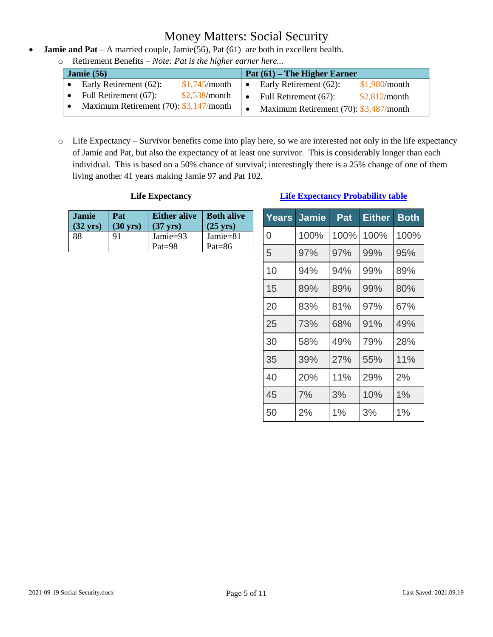- **Jamie and Pat** A married couple, Jamie(56), Pat (61) are both in excellent health.
	- o Retirement Benefits *Note: Pat is the higher earner here...*

| Jamie $(56)$ |                                           |               |           | Pat (61) – The Higher Earner              |               |
|--------------|-------------------------------------------|---------------|-----------|-------------------------------------------|---------------|
|              | Early Retirement (62):                    | \$1,745/month | $\bullet$ | Early Retirement (62):                    | \$1,980/month |
|              | Full Retirement (67):                     | \$2,538/month |           | Full Retirement (67):                     | \$2,812/month |
|              | Maximum Retirement $(70)$ : \$3,147/month |               |           | Maximum Retirement $(70)$ : \$3,487/month |               |

o Life Expectancy – Survivor benefits come into play here, so we are interested not only in the life expectancy of Jamie and Pat, but also the expectancy of at least one survivor. This is considerably longer than each individual. This is based on a 50% chance of survival; interestingly there is a 25% change of one of them living another 41 years making Jamie 97 and Pat 102.

#### **Life Expectancy**

| <b>Jamie</b>       | Pat                | <b>Either alive</b>    | Both alive            |
|--------------------|--------------------|------------------------|-----------------------|
| $(32 \text{ yrs})$ | $(30 \text{ yrs})$ | $(37 \text{ yrs})$     | $(25 \text{ yrs})$    |
| 88                 | 91                 | Jamie=93<br>$Pat = 98$ | Jamie=81<br>Pat= $86$ |

#### **[Life Expectancy Probability table](https://www.longevityillustrator.org/Profile?m=1)**

| Years | <b>Jamie</b> | Pat   | <b>Either</b> | <b>Both</b> |
|-------|--------------|-------|---------------|-------------|
| 0     | 100%         | 100%  | 100%          | 100%        |
| 5     | 97%          | 97%   | 99%           | 95%         |
| 10    | 94%          | 94%   | 99%           | 89%         |
| 15    | 89%          | 89%   | 99%           | 80%         |
| 20    | 83%          | 81%   | 97%           | 67%         |
| 25    | 73%          | 68%   | 91%           | 49%         |
| 30    | 58%          | 49%   | 79%           | 28%         |
| 35    | 39%          | 27%   | 55%           | 11%         |
| 40    | 20%          | 11%   | 29%           | 2%          |
| 45    | 7%           | 3%    | 10%           | $1\%$       |
| 50    | 2%           | $1\%$ | 3%            | $1\%$       |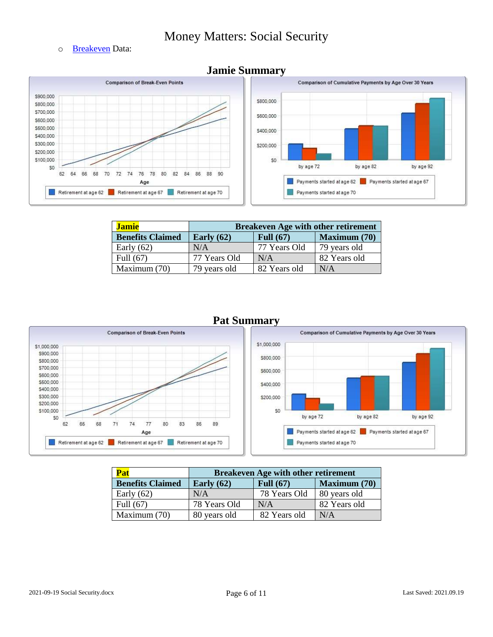o [Breakeven](https://www.broadridgeadvisor.com/webresourcesview/ContentView.aspx?iptc=260136&wcKey=D1173E1F15856A9F0F65DAFD8FA7B815873431C99A4E1FDF729E24E7C97F0A5D718DC2591DA642B14F62275F9D72F0F8) Data:



| <b>Jamie</b>            | <b>Breakeven Age with other retirement</b>         |              |              |  |
|-------------------------|----------------------------------------------------|--------------|--------------|--|
| <b>Benefits Claimed</b> | <b>Maximum (70)</b><br>Full $(67)$<br>Early $(62)$ |              |              |  |
| Early $(62)$            | N/A                                                | 77 Years Old | 79 years old |  |
| Full $(67)$             | 77 Years Old                                       | N/A          | 82 Years old |  |
| Maximum (70)            | 79 years old                                       | 82 Years old | N/A          |  |



#### **Pat Summary**



| <b>Pat</b>              | <b>Breakeven Age with other retirement</b> |                     |              |  |
|-------------------------|--------------------------------------------|---------------------|--------------|--|
| <b>Benefits Claimed</b> | Early $(62)$                               | <b>Maximum (70)</b> |              |  |
| Early $(62)$            | N/A                                        | 78 Years Old        | 80 years old |  |
| Full (67)               | 78 Years Old                               | N/A                 | 82 Years old |  |
| Maximum (70)            | 80 years old                               | 82 Years old        | N/A          |  |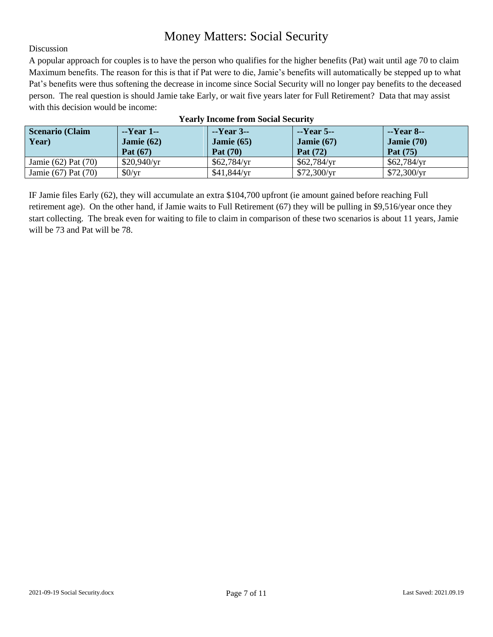#### Discussion

A popular approach for couples is to have the person who qualifies for the higher benefits (Pat) wait until age 70 to claim Maximum benefits. The reason for this is that if Pat were to die, Jamie's benefits will automatically be stepped up to what Pat's benefits were thus softening the decrease in income since Social Security will no longer pay benefits to the deceased person. The real question is should Jamie take Early, or wait five years later for Full Retirement? Data that may assist with this decision would be income:

| <b>Scenario (Claim</b>  | $-$ Year 1 $-$             | $-Year$ 3--                     | $-Year$ 5--                | $-Year 8$ --                    |
|-------------------------|----------------------------|---------------------------------|----------------------------|---------------------------------|
| Year)                   | Jamie $(62)$<br>Pat $(67)$ | Jamie $(65)$<br><b>Pat</b> (70) | Jamie $(67)$<br>Pat $(72)$ | <b>Jamie</b> $(70)$<br>Pat (75) |
| Jamie $(62)$ Pat $(70)$ | \$20,940/yr                | \$62,784/yr                     | \$62,784/yr                | \$62,784/yr                     |
| Jamie (67) Pat (70)     | \$0/yr                     | \$41,844/yr                     | \$72,300/yr                | \$72,300/yr                     |

#### **Yearly Income from Social Security**

IF Jamie files Early (62), they will accumulate an extra \$104,700 upfront (ie amount gained before reaching Full retirement age). On the other hand, if Jamie waits to Full Retirement (67) they will be pulling in \$9,516/year once they start collecting. The break even for waiting to file to claim in comparison of these two scenarios is about 11 years, Jamie will be 73 and Pat will be 78.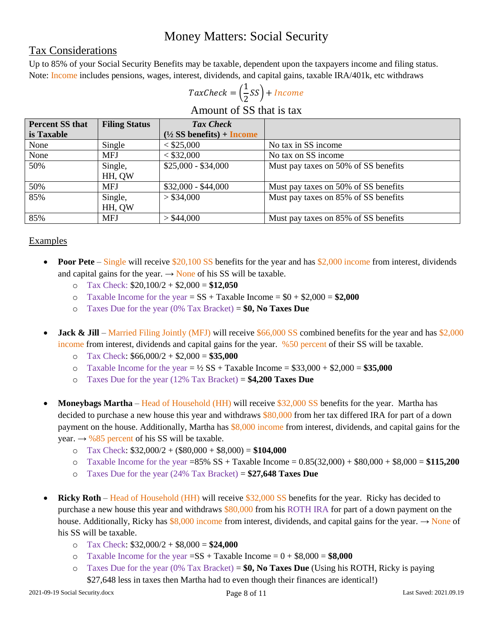#### Tax Considerations

Up to 85% of your Social Security Benefits may be taxable, dependent upon the taxpayers income and filing status. Note: Income includes pensions, wages, interest, dividends, and capital gains, taxable IRA/401k, etc withdraws

#### $TaxCheck = ($  $\mathbf{1}$  $\frac{1}{2}$ SS) +

Amount of SS that is tax

| <b>Percent SS that</b> | <b>Filing Status</b> | <b>Tax Check</b>                    |                                      |
|------------------------|----------------------|-------------------------------------|--------------------------------------|
| is Taxable             |                      | $(\frac{1}{2}SS$ benefits) + Income |                                      |
| None                   | Single               | < \$25,000                          | No tax in SS income                  |
| None                   | <b>MFJ</b>           | < \$32,000                          | No tax on SS income                  |
| 50%                    | Single,              | $$25,000 - $34,000$                 | Must pay taxes on 50% of SS benefits |
|                        | HH, QW               |                                     |                                      |
| 50%                    | <b>MFJ</b>           | $$32,000 - $44,000$                 | Must pay taxes on 50% of SS benefits |
| 85%                    | Single,              | > \$34,000                          | Must pay taxes on 85% of SS benefits |
|                        | HH, QW               |                                     |                                      |
| 85%                    | <b>MFJ</b>           | > \$44,000                          | Must pay taxes on 85% of SS benefits |

#### **Examples**

- **Poor Pete** Single will receive \$20,100 SS benefits for the year and has \$2,000 income from interest, dividends and capital gains for the year.  $\rightarrow$  None of his SS will be taxable.
	- o Tax Check: \$20,100/2 + \$2,000 = **\$12,050**
	- $\circ$  Taxable Income for the year = SS + Taxable Income =  $$0 + $2,000 = $2,000$
	- o Taxes Due for the year (0% Tax Bracket) = **\$0, No Taxes Due**
- **Jack & Jill** Married Filing Jointly (MFJ) will receive \$66,000 SS combined benefits for the year and has \$2,000 income from interest, dividends and capital gains for the year. %50 percent of their SS will be taxable.
	- o Tax Check: \$66,000/2 + \$2,000 = **\$35,000**
	- $\circ$  Taxable Income for the year =  $\frac{1}{2}$  SS + Taxable Income = \$33,000 + \$2,000 = \$35,000
	- o Taxes Due for the year (12% Tax Bracket) = **\$4,200 Taxes Due**
- **Moneybags Martha** Head of Household (HH) will receive \$32,000 SS benefits for the year. Martha has decided to purchase a new house this year and withdraws \$80,000 from her tax differed IRA for part of a down payment on the house. Additionally, Martha has \$8,000 income from interest, dividends, and capital gains for the year.  $\rightarrow$  %85 percent of his SS will be taxable.
	- o Tax Check: \$32,000/2 + (\$80,000 + \$8,000) = **\$104,000**
	- $\circ$  Taxable Income for the year =85% SS + Taxable Income =  $0.85(32,000) + $80,000 + $8,000 = $115,200$
	- o Taxes Due for the year (24% Tax Bracket) = **\$27,648 Taxes Due**
- **Ricky Roth** Head of Household (HH) will receive \$32,000 SS benefits for the year. Ricky has decided to purchase a new house this year and withdraws \$80,000 from his ROTH IRA for part of a down payment on the house. Additionally, Ricky has  $$8,000$  income from interest, dividends, and capital gains for the year.  $\rightarrow$  None of his SS will be taxable.
	- o Tax Check: \$32,000/2 + \$8,000 = **\$24,000**
	- o Taxable Income for the year  $= SS + Taxable$  Income  $= 0 + $8,000 = $8,000$
	- o Taxes Due for the year (0% Tax Bracket) = **\$0, No Taxes Due** (Using his ROTH, Ricky is paying \$27,648 less in taxes then Martha had to even though their finances are identical!)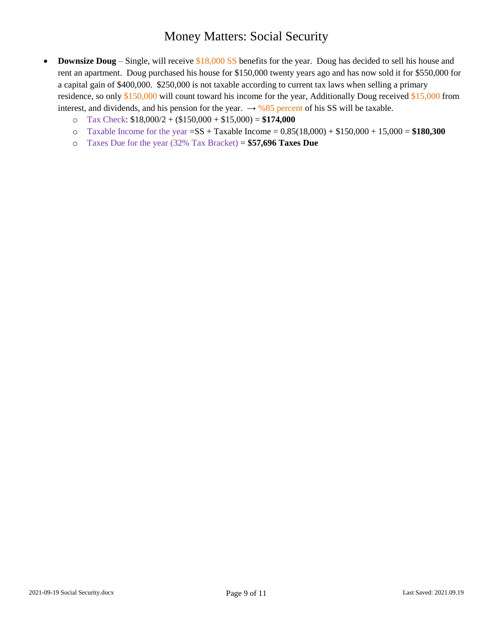- **Downsize Doug** Single, will receive \$18,000 SS benefits for the year. Doug has decided to sell his house and rent an apartment. Doug purchased his house for \$150,000 twenty years ago and has now sold it for \$550,000 for a capital gain of \$400,000. \$250,000 is not taxable according to current tax laws when selling a primary residence, so only \$150,000 will count toward his income for the year, Additionally Doug received \$15,000 from interest, and dividends, and his pension for the year.  $\rightarrow$  %85 percent of his SS will be taxable.
	- o Tax Check: \$18,000/2 + (\$150,000 + \$15,000) = **\$174,000**
	- o Taxable Income for the year =SS + Taxable Income = 0.85(18,000) + \$150,000 + 15,000 = **\$180,300**
	- o Taxes Due for the year (32% Tax Bracket) = **\$57,696 Taxes Due**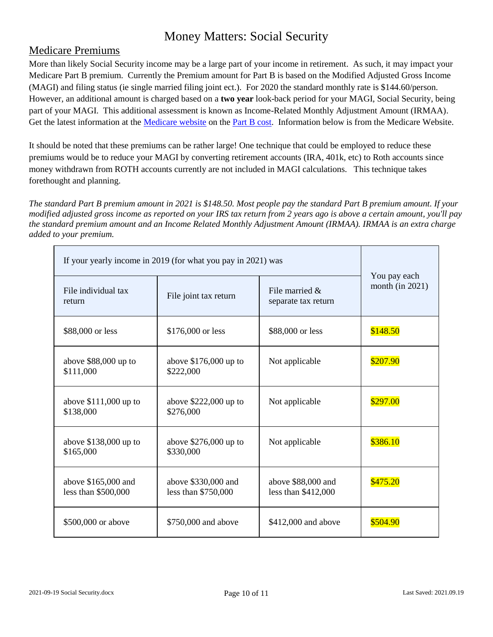### Medicare Premiums

More than likely Social Security income may be a large part of your income in retirement. As such, it may impact your Medicare Part B premium. Currently the Premium amount for Part B is based on the Modified Adjusted Gross Income (MAGI) and filing status (ie single married filing joint ect.). For 2020 the standard monthly rate is \$144.60/person. However, an additional amount is charged based on a **two year** look-back period for your MAGI, Social Security, being part of your MAGI. This additional assessment is known as Income-Related Monthly Adjustment Amount (IRMAA). Get the latest information at the [Medicare website](https://www.medicare.gov/) on the [Part B cost.](https://www.medicare.gov/your-medicare-costs/part-b-costs) Information below is from the Medicare Website.

It should be noted that these premiums can be rather large! One technique that could be employed to reduce these premiums would be to reduce your MAGI by converting retirement accounts (IRA, 401k, etc) to Roth accounts since money withdrawn from ROTH accounts currently are not included in MAGI calculations. This technique takes forethought and planning.

*The standard Part B premium amount in 2021 is \$148.50. Most people pay the standard Part B premium amount. If your modified adjusted gross income as reported on your IRS tax return from 2 years ago is above a certain amount, you'll pay the standard premium amount and an Income Related Monthly Adjustment Amount (IRMAA). IRMAA is an extra charge added to your premium.*

| If your yearly income in 2019 (for what you pay in 2021) was | You pay each                               |                                           |                    |  |
|--------------------------------------------------------------|--------------------------------------------|-------------------------------------------|--------------------|--|
| File individual tax<br>return                                | File joint tax return                      | File married $\&$<br>separate tax return  | month (in $2021$ ) |  |
| \$88,000 or less                                             | \$176,000 or less                          | \$88,000 or less                          | \$148.50           |  |
| above $$88,000$ up to<br>\$111,000                           | above $$176,000$ up to<br>\$222,000        | Not applicable                            | \$207.90           |  |
| above $$111,000$ up to<br>\$138,000                          | above $$222,000$ up to<br>\$276,000        | Not applicable                            | \$297.00           |  |
| above $$138,000$ up to<br>\$165,000                          | above $$276,000$ up to<br>\$330,000        | Not applicable                            | \$386.10           |  |
| above \$165,000 and<br>less than \$500,000                   | above \$330,000 and<br>less than \$750,000 | above \$88,000 and<br>less than \$412,000 | \$475.20           |  |
| \$500,000 or above                                           | \$750,000 and above                        | \$412,000 and above                       | \$504.90           |  |